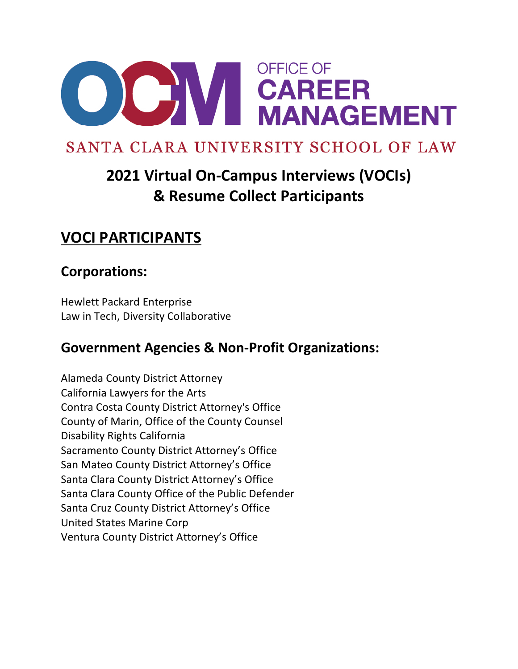

# SANTA CLARA UNIVERSITY SCHOOL OF LAW

# **2021 Virtual On-Campus Interviews (VOCIs) & Resume Collect Participants**

## **VOCI PARTICIPANTS**

### **Corporations:**

Hewlett Packard Enterprise Law in Tech, Diversity Collaborative

### **Government Agencies & Non-Profit Organizations:**

Alameda County District Attorney California Lawyers for the Arts Contra Costa County District Attorney's Office County of Marin, Office of the County Counsel Disability Rights California Sacramento County District Attorney's Office San Mateo County District Attorney's Office Santa Clara County District Attorney's Office Santa Clara County Office of the Public Defender Santa Cruz County District Attorney's Office United States Marine Corp Ventura County District Attorney's Office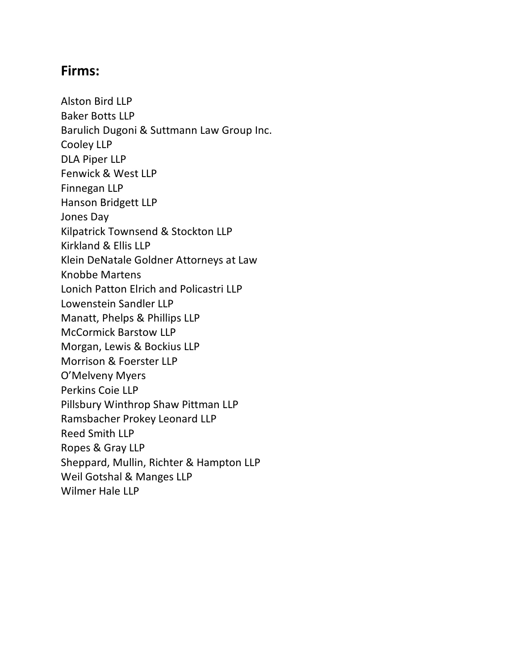#### **Firms:**

Alston Bird LLP Baker Botts LLP Barulich Dugoni & Suttmann Law Group Inc. Cooley LLP DLA Piper LLP Fenwick & West LLP Finnegan LLP Hanson Bridgett LLP Jones Day Kilpatrick Townsend & Stockton LLP Kirkland & Ellis LLP Klein DeNatale Goldner Attorneys at Law Knobbe Martens Lonich Patton Elrich and Policastri LLP Lowenstein Sandler LLP Manatt, Phelps & Phillips LLP McCormick Barstow LLP Morgan, Lewis & Bockius LLP Morrison & Foerster LLP O'Melveny Myers Perkins Coie LLP Pillsbury Winthrop Shaw Pittman LLP Ramsbacher Prokey Leonard LLP Reed Smith LLP Ropes & Gray LLP Sheppard, Mullin, Richter & Hampton LLP Weil Gotshal & Manges LLP Wilmer Hale LLP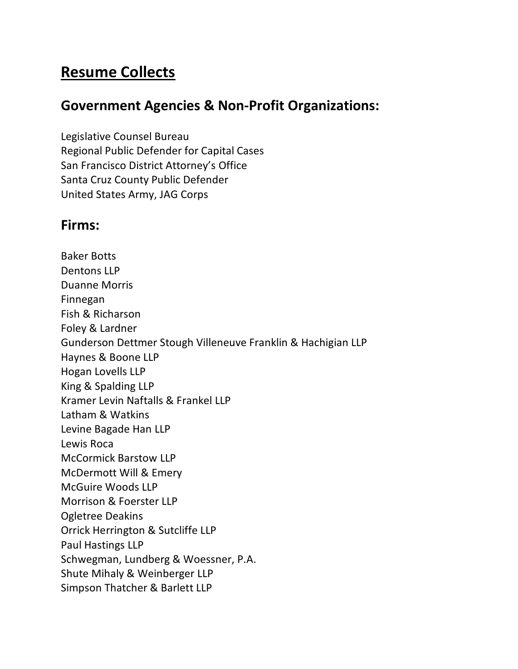## **Resume Collects**

#### **Government Agencies & Non-Profit Organizations:**

Legislative Counsel Bureau Regional Public Defender for Capital Cases San Francisco District Attorney's Office Santa Cruz County Public Defender United States Army, JAG Corps

#### **Firms:**

Baker Botts Dentons LLP Duanne Morris Finnegan Fish & Richarson Foley & Lardner Gunderson Dettmer Stough Villeneuve Franklin & Hachigian LLP Haynes & Boone LLP Hogan Lovells LLP King & Spalding LLP Kramer Levin Naftalls & Frankel LLP Latham & Watkins Levine Bagade Han LLP Lewis Roca McCormick Barstow LLP McDermott Will & Emery McGuire Woods LLP Morrison & Foerster LLP Ogletree Deakins Orrick Herrington & Sutcliffe LLP Paul Hastings LLP Schwegman, Lundberg & Woessner, P.A. Shute Mihaly & Weinberger LLP Simpson Thatcher & Barlett LLP